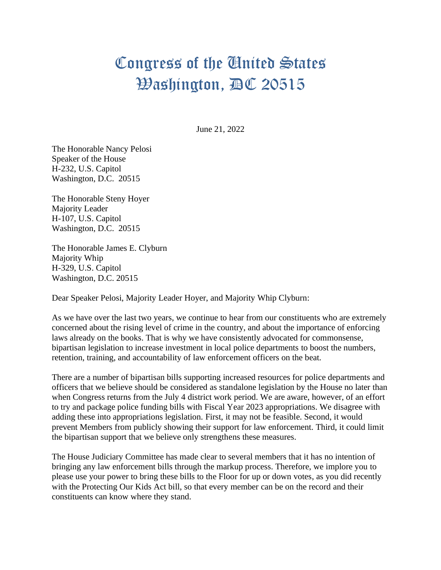## Congress of the United States Washington, DC 20515

June 21, 2022

The Honorable Nancy Pelosi Speaker of the House H-232, U.S. Capitol Washington, D.C. 20515

The Honorable Steny Hoyer Majority Leader H-107, U.S. Capitol Washington, D.C. 20515

The Honorable James E. Clyburn Majority Whip H-329, U.S. Capitol Washington, D.C. 20515

Dear Speaker Pelosi, Majority Leader Hoyer, and Majority Whip Clyburn:

As we have over the last two years, we continue to hear from our constituents who are extremely concerned about the rising level of crime in the country, and about the importance of enforcing laws already on the books. That is why we have consistently advocated for commonsense, bipartisan legislation to increase investment in local police departments to boost the numbers, retention, training, and accountability of law enforcement officers on the beat.

There are a number of bipartisan bills supporting increased resources for police departments and officers that we believe should be considered as standalone legislation by the House no later than when Congress returns from the July 4 district work period. We are aware, however, of an effort to try and package police funding bills with Fiscal Year 2023 appropriations. We disagree with adding these into appropriations legislation. First, it may not be feasible. Second, it would prevent Members from publicly showing their support for law enforcement. Third, it could limit the bipartisan support that we believe only strengthens these measures.

The House Judiciary Committee has made clear to several members that it has no intention of bringing any law enforcement bills through the markup process. Therefore, we implore you to please use your power to bring these bills to the Floor for up or down votes, as you did recently with the Protecting Our Kids Act bill, so that every member can be on the record and their constituents can know where they stand.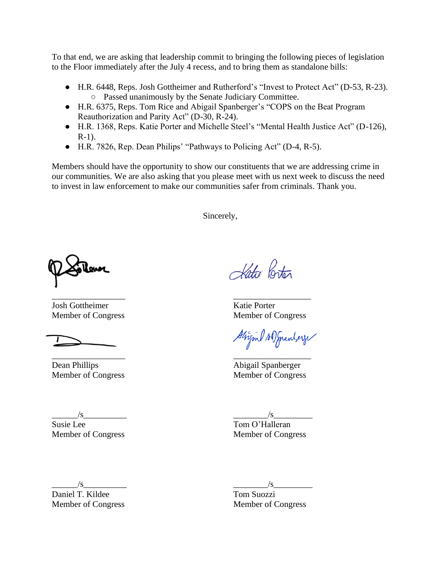To that end, we are asking that leadership commit to bringing the following pieces of legislation to the Floor immediately after the July 4 recess, and to bring them as standalone bills:

- H.R. 6448, Reps. Josh Gottheimer and Rutherford's "Invest to Protect Act" (D-53, R-23). ○ Passed unanimously by the Senate Judiciary Committee.
- H.R. 6375, Reps. Tom Rice and Abigail Spanberger's "COPS on the Beat Program Reauthorization and Parity Act" (D-30, R-24).
- H.R. 1368, Reps. Katie Porter and Michelle Steel's "Mental Health Justice Act" (D-126), R-1).
- H.R. 7826, Rep. Dean Philips' "Pathways to Policing Act" (D-4, R-5).

\_\_\_\_\_\_\_\_\_\_\_\_\_\_\_\_\_ \_\_\_\_\_\_\_\_\_\_\_\_\_\_\_\_\_\_

Members should have the opportunity to show our constituents that we are addressing crime in our communities. We are also asking that you please meet with us next week to discuss the need to invest in law enforcement to make our communities safer from criminals. Thank you.

Sincerely,

\_\_\_\_\_\_\_\_\_\_\_\_\_\_\_\_\_ \_\_\_\_\_\_\_\_\_\_\_\_\_\_\_\_\_\_ **Josh Gottheimer** Katie Porter Member of Congress Member of Congress

Dean Phillips **Abigail Spanberger** Member of Congress Member of Congress

Kato Porter

Strigml AD Sprenterze

\_\_\_\_\_\_/s\_\_\_\_\_\_\_\_\_\_ \_\_\_\_\_\_\_\_/s\_\_\_\_\_\_\_\_\_ Susie Lee Tom O'Halleran

Member of Congress Member of Congress

 $\frac{1}{s}$   $\frac{1}{s}$   $\frac{1}{s}$   $\frac{1}{s}$   $\frac{1}{s}$   $\frac{1}{s}$   $\frac{1}{s}$   $\frac{1}{s}$   $\frac{1}{s}$   $\frac{1}{s}$   $\frac{1}{s}$   $\frac{1}{s}$   $\frac{1}{s}$   $\frac{1}{s}$   $\frac{1}{s}$   $\frac{1}{s}$   $\frac{1}{s}$   $\frac{1}{s}$   $\frac{1}{s}$   $\frac{1}{s}$   $\frac{1}{s}$   $\frac{1}{s}$ 

Daniel T. Kildee Tom Suozzi Member of Congress Member of Congress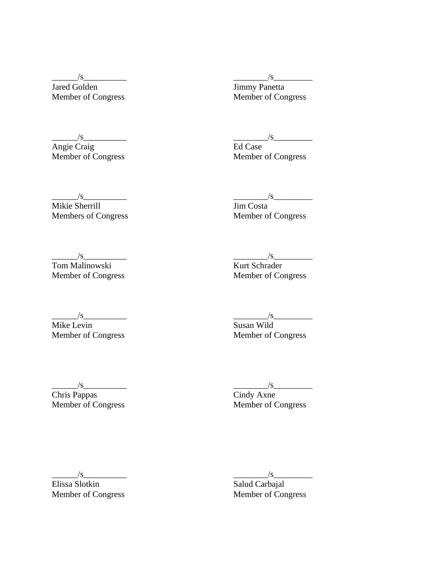Member of Congress

Angie Craig Ed Case<br>
Member of Congress Ed Case<br>
Member of Congress

 $\frac{1}{s}$   $\frac{1}{s}$   $\frac{1}{s}$   $\frac{1}{s}$   $\frac{1}{s}$   $\frac{1}{s}$   $\frac{1}{s}$   $\frac{1}{s}$   $\frac{1}{s}$   $\frac{1}{s}$   $\frac{1}{s}$   $\frac{1}{s}$   $\frac{1}{s}$   $\frac{1}{s}$   $\frac{1}{s}$   $\frac{1}{s}$   $\frac{1}{s}$   $\frac{1}{s}$   $\frac{1}{s}$   $\frac{1}{s}$   $\frac{1}{s}$   $\frac{1}{s}$  Jared Golden Jimmy Panetta<br>
Member of Congress Member of Congress

 $\frac{1}{s}$   $\frac{1}{s}$   $\frac{1}{s}$   $\frac{1}{s}$   $\frac{1}{s}$   $\frac{1}{s}$   $\frac{1}{s}$   $\frac{1}{s}$   $\frac{1}{s}$   $\frac{1}{s}$   $\frac{1}{s}$   $\frac{1}{s}$   $\frac{1}{s}$   $\frac{1}{s}$   $\frac{1}{s}$   $\frac{1}{s}$   $\frac{1}{s}$   $\frac{1}{s}$   $\frac{1}{s}$   $\frac{1}{s}$   $\frac{1}{s}$   $\frac{1}{s}$ 

Member of Congress

 $\frac{1}{s}$   $\frac{1}{s}$   $\frac{1}{s}$   $\frac{1}{s}$   $\frac{1}{s}$   $\frac{1}{s}$   $\frac{1}{s}$   $\frac{1}{s}$   $\frac{1}{s}$   $\frac{1}{s}$   $\frac{1}{s}$   $\frac{1}{s}$   $\frac{1}{s}$   $\frac{1}{s}$   $\frac{1}{s}$   $\frac{1}{s}$   $\frac{1}{s}$   $\frac{1}{s}$   $\frac{1}{s}$   $\frac{1}{s}$   $\frac{1}{s}$   $\frac{1}{s}$  Mikie Sherrill<br>
Members of Congress<br>
Member of Congress<br>
Member of Congress Members of Congress

\_\_\_\_\_\_/s\_\_\_\_\_\_\_\_\_\_ \_\_\_\_\_\_\_\_/s\_\_\_\_\_\_\_\_\_ Tom Malinowski Kurt Schrader

Member of Congress Member of Congress

Member of Congress

 $\frac{\text{w}}{\text{Mike Levin}}$   $\frac{\text{w}}{\text{Susan Wild}}$ Mike Levin<br>
Member of Congress<br>
Member of Congress<br>
Member of Congress

Chris Pappas<br>Member of Congress

 $\frac{\sqrt{s}}{\text{Chris Pappas}}$   $\frac{\sqrt{s}}{\text{Cindy Axne}}$ Member of Congress

 $\frac{\sqrt{s}}{\text{Elissa Slotkin}}$ Member of Congress Member of Congress

 $\begin{array}{c}\n\sqrt{s} \\
\hline\n\text{Salud Carbajal}\n\end{array}$